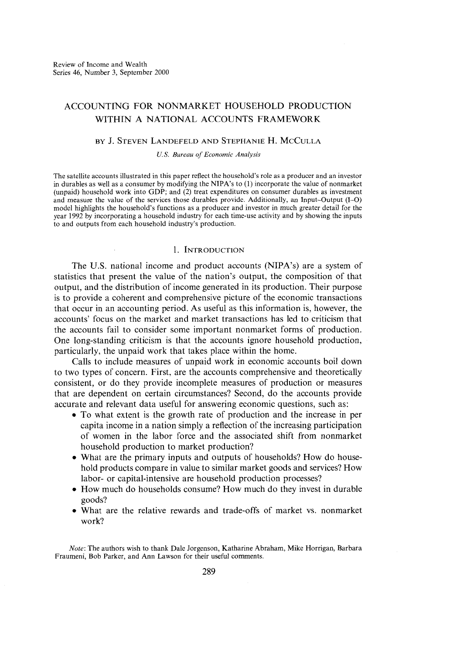# ACCOUNTING FOR NONMARKET HOUSEHOLD PRODUCTION WITHIN A NATIONAL ACCOUNTS FRAMEWORK

## BY J. STEVEN LANDEFELD AND STEPHANIE H. MCCULLA

*U.S. Bureau of Economic Analysis* 

The satellite accounts illustrated in this paper reflect the household's role as a producer and an investor in durables as well as a consumer by modifying the NIPA's to (1) incorporate the value of nonmarket (unpaid) household work into GDP; and (2) treat expenditures on consumer durables as investment and measure the value of the services those durables provide. Additionally, an Input-Output (1-0) model highlights the household's functions as a producer and investor in much greater detail for the year 1992 by incorporating a household industry for each time-use activity and by showing the inputs to and outputs from each household industry's production.

## 1. INTRODUCTION

The U.S. national income and product accounts (NIPA's) are a system of statistics that present the value of the nation's output, the composition of that output, and the distribution of income generated in its production. Their purpose is to provide a coherent and comprehensive picture of the economic transactions that occur in an accounting period. As useful as this information is, however, the accounts' focus on the market and market transactions has led to criticism that the accounts fail to consider some important nonmarket forms of production. One long-standing criticism is that the accounts ignore household production, particularly, the unpaid work that takes place within the home.

Calls to include measures of unpaid work in economic accounts boil down to two types of concern. First, are the accounts comprehensive and theoretically consistent, or do they provide incomplete measures of production or measures that are dependent on certain circumstances? Second, do the accounts provide accurate and relevant data useful for answering economic questions, such as:

- To what extent is the growth rate of production and the increase in per capita income in a nation simply a reflection of the increasing participation of women in the labor force and the associated shift from nonmarket household production to market production?
- What are the primary inputs and outputs of households? How do household products compare in value to similar market goods and services? How labor- or capital-intensive are household production processes?
- How much do households consume? How much do they invest in durable goods?
- What are the relative rewards and trade-offs of market vs. nonmarket work?

*Note:* The authors wish to thank Dale Jorgenson, Katharine Abraham, Mike Horrigan, Barbara Fraumeni, Bob Parker, and Ann Lawson for their useful comments.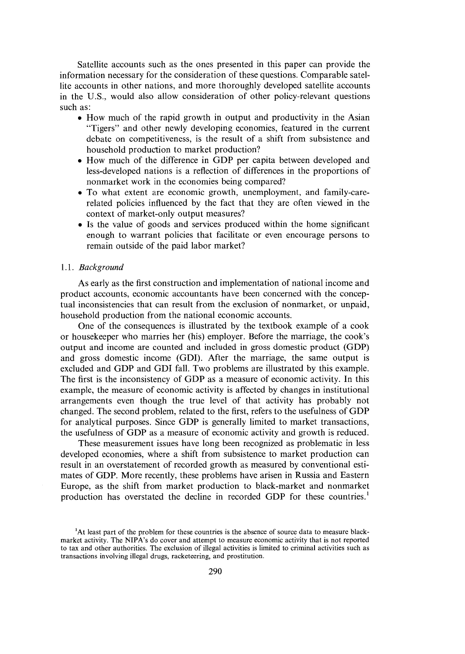Satellite accounts such as the ones presented in this paper can provide the information necessary for the consideration of these questions. Comparable satellite accounts in other nations, and more thoroughly developed satellite accounts in the U.S., would also allow consideration of other policy-relevant questions such as:

- How much of the rapid growth in output and productivity in the Asian "Tigers" and other newly developing economies, featured in the current debate on competitiveness, is the result of a shift from subsistence and household production to market production?
- How much of the difference in GDP per capita between developed and less-developed nations is a reflection of differences in the proportions of nonmarket work in the economies being compared?
- To what extent are economic growth, unemployment, and family-carerelated policies influenced by the fact that they are often viewed in the context of market-only output measures?
- Is the value of goods and services produced within the home significant enough to warrant policies that facilitate or even encourage persons to remain outside of the paid labor market?

## 1.1. *Background*

As early as the first construction and implementation of national income and product accounts, economic accountants have been concerned with the conceptual inconsistencies that can result from the exclusion of nonmarket, or unpaid, household production from the national economic accounts.

One of the consequences is illustrated by the textbook example of a cook or housekeeper who marries her (his) employer. Before the marriage, the cook's output and income are counted and included in gross domestic product (GDP) and gross domestic income (GDI). After the marriage, the same output is excluded and GDP and GDI fall. Two problems are illustrated by this example. The first is the inconsistency of GDP as a measure of economic activity. In this example, the measure of economic activity is affected by changes in institutional arrangements even though the true level of that activity has probably not changed. The second problem, related to the first, refers to the usefulness of GDP for analytical purposes. Since GDP is generally limited to market transactions, the usefulness of GDP as a measure of economic activity and growth is reduced.

These measurement issues have long been recognized as problematic in less developed economies, where a shift from subsistence to market production can result in an overstatement of recorded growth as measured by conventional estimates of GDP. More recently, these problems have arisen in Russia and Eastern Europe, as the shift from market production to black-market and nonmarket production has overstated the decline in recorded GDP for these countries.'

<sup>&#</sup>x27;At least part of the problem for these countries is the absence of source data to measure blackmarket activity. The NIPA's do cover and attempt to measure economic activity that is not reported to tax and other authorities. The exclusion of illegal activities is limited to criminal activities such as transactions involving illegal drugs, racketeering, and prostitution.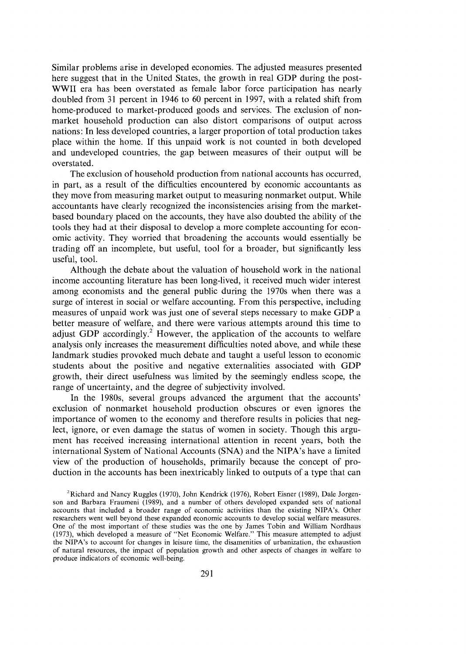Similar problems arise in developed economies. The adjusted measures presented here suggest that in the United States, the growth in real GDP during the post-WWII era has been overstated as female labor force participation has nearly doubled from 31 percent in 1946 to 60 percent in 1997, with a related shift from home-produced to market-produced goods and services. The exclusion of nonmarket household production can also distort comparisons of output across nations: In less developed countries, a larger proportion of total production takes place within the home. If this unpaid work is not counted in both developed and undeveloped countries, the gap between measures of their output will be overstated.

The exclusion of household production from national accounts has occurred, in part, as a result of the difficulties encountered by economic accountants as they move from measuring market output to measuring nonmarket output. While accountants have clearly recognized the inconsistencies arising from the marketbased boundary placed on the accounts, they have also doubted the ability of the tools they had at their disposal to develop a more complete accounting for economic activity. They worried that broadening the accounts would essentially be trading off an incomplete, but useful, tool for a broader, but significantly less useful, tool.

Although the debate about the valuation of household work in the national income accounting literature has been long-lived, it received much wider interest among economists and the general public during the 1970s when there was a surge of interest in social or welfare accounting. From this perspective, including measures of unpaid work was just one of several steps necessary to make GDP a better measure of welfare, and there were various attempts around this time to adjust GDP accordingly.' However, the application of the accounts to welfare analysis only increases the measurement difficulties noted above, and while these landmark studies provoked much debate and taught a useful lesson to economic students about the positive and negative externalities associated with GDP growth, their direct usefulness was limited by the seemingly endless scope, the range of uncertainty, and the degree of subjectivity involved.

In the 1980s, several groups advanced the argument that the accounts' exclusion of nonmarket household production obscures or even ignores the importance of women to the economy and therefore results in policies that neglect, ignore, or even damage the status of women in society. Though this argument has received increasing international attention in recent years, both the international System of National Accounts (SNA) and the NIPA's have a limited view of the production of households, primarily because the concept of production in the accounts has been inextricably linked to outputs of a type that can

<sup>&</sup>lt;sup>2</sup>Richard and Nancy Ruggles (1970), John Kendrick (1976), Robert Eisner (1989), Dale Jorgenson and Barbara Fraumeni (1989), and a number of others developed expanded sets of national accounts that included a broader range of economic activities than the existing NIPA's. Other researchers went well beyond these expanded economic accounts to develop social welfare measures. One of the most important of these studies was the one by James Tobin and William Nordhaus (1973), which developed a measure of "Net Economic Welfare." This measure attempted to adjust the NIPA's to account for changes in leisure time, the disamenities of urbanization, the exhaustion of natural resources, the impact of population growth and other aspects of changes in welfare to produce indicators of economic well-being.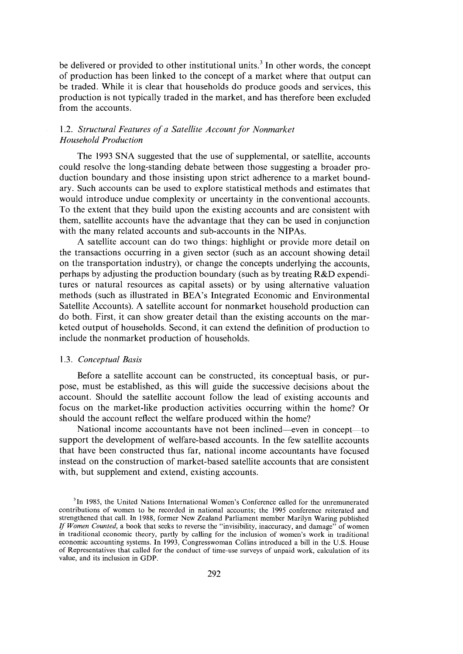be delivered or provided to other institutional units.<sup>3</sup> In other words, the concept of production has been linked to the concept of a market where that output can be traded. While it is clear that households do produce goods and services, this production is not typically traded in the market, and has therefore been excluded from the accounts.

# 1.2. *Structural Features of a Satellite Account for Nonmarket Household Production*

The 1993 SNA suggested that the use of supplemental, or satellite, accounts could resolve the long-standing debate between those suggesting a broader production boundary and those insisting upon strict adherence to a market boundary. Such accounts can be used to explore statistical methods and estimates that would introduce undue complexity or uncertainty in the conventional accounts. To the extent that they build upon the existing accounts and are consistent with them, satellite accounts have the advantage that they can be used in conjunction with the many related accounts and sub-accounts in the NIPAs.

A satellite account can do two things: highlight or provide more detail on the transactions occurring in a given sector (such as an account showing detail on the transportation industry), or change the concepts underlying the accounts, perhaps by adjusting the production boundary (such as by treating R&D expenditures or natural resources as capital assets) or by using alternative valuation methods (such as illustrated in BEA's Integrated Economic and Environmental Satellite Accounts). A satellite account for nonmarket household production can do both. First, it can show greater detail than the existing accounts on the marketed output of households. Second, it can extend the definition of production to include the nonmarket production of households.

#### *1.3. Conceptual Basis*

Before a satellite account can be constructed, its conceptual basis, or purpose, must be established, as this will guide the successive decisions about the account. Should the satellite account follow the lead of existing accounts and focus on the market-like production activities occurring within the home? Or should the account reflect the welfare produced within the home?

National income accountants have not been inclined—even in concept—to support the development of welfare-based accounts. In the few satellite accounts that have been constructed thus far, national income accountants have focused instead on the construction of market-based satellite accounts that are consistent with, but supplement and extend, existing accounts.

<sup>&</sup>lt;sup>3</sup>In 1985, the United Nations International Women's Conference called for the unremunerated contributions of women to be recorded in national accounts; the 1995 conference reiterated and strengthened that call. In 1988, former New Zealand Parliament member Marilyn Waring published *If Women Counted*, a book that seeks to reverse the "invisibility, inaccuracy, and damage" of women in traditional economic theory, partly by calling for the inclusion of women's work in traditional economic accounting systems. In 1993, Congresswoman Collins introduced a bill in the U.S. House of Representatives that called for the conduct of time-use surveys of unpaid work, calculation of its value, and its inclusion in GDP.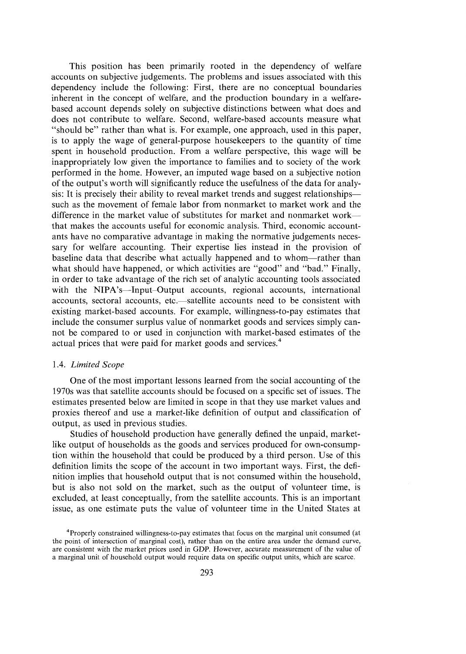This position has been primarily rooted in the dependency of welfare accounts on subjective judgements. The problems and issues associated with this dependency include the following: First, there are no conceptual boundaries inherent in the concept of welfare, and the production boundary in a welfarebased account depends solely on subjective distinctions between what does and does not contribute to welfare. Second, welfare-based accounts measure what "should be" rather than what is. For example, one approach, used in this paper, is to apply the wage of general-purpose housekeepers to the quantity of time spent in household production. From a welfare perspective, this wage will be inappropriately low given the importance to families and to society of the work performed in the home. However, an imputed wage based on a subjective notion of the output's worth will significantly reduce the usefulness of the data for analysis: It is precisely their ability to reveal market trends and suggest relationshipssuch as the movement of female labor from nonmarket to market work and the difference in the market value of substitutes for market and nonmarket workthat makes the accounts useful for economic analysis. Third, economic accountants have no comparative advantage in making the normative judgements necessary for welfare accounting. Their expertise lies instead in the provision of baseline data that describe what actually happened and to whom-rather than what should have happened, or which activities are "good" and "bad." Finally, in order to take advantage of the rich set of analytic accounting tools associated with the NIPA's—Input-Output accounts, regional accounts, international accounts, sectoral accounts, etc.—satellite accounts need to be consistent with existing market-based accounts. For example, willingness-to-pay estimates that include the consumer surplus value of nonmarket goods and services simply cannot be compared to or used in conjunction with market-based estimates of the actual prices that were paid for market goods and services.<sup>4</sup>

#### 1.4. *Limited Scope*

One of the most important lessons learned from the social accounting of the 1970s was that satellite accounts should be focused on a specific set of issues. The estimates presented below are limited in scope in that they use market values and proxies thereof and use a market-like definition of output and classification of output, as used in previous studies.

Studies of household production have generally defined the unpaid, marketlike output of households as the goods and services produced for own-consumption within the household that could be produced by a third person. Use of this definition limits the scope of the account in two important ways. First, the definition implies that household output that is not consumed within the household, but is also not sold on the market, such as the output of volunteer time, is excluded, at least conceptually, from the satellite accounts. This is an important issue, as one estimate puts the value of volunteer time in the United States at

<sup>4</sup>Properly constrained willingness-to-pay estimates that focus on the marginal unit consumed (at the point of intersection of marginal cost), rather than on the entire area under the demand curve, are consistent with the market prices used in GDP. However, accurate measurement of the value of a marginal unit of household output would require data on specific output units, which are scarce.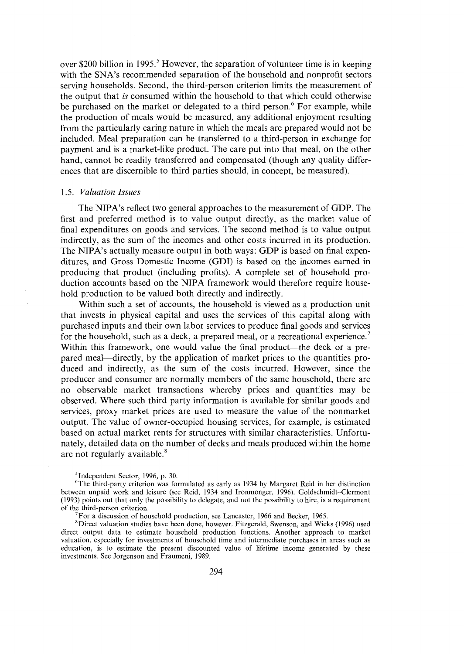over \$200 billion in 1995.<sup>5</sup> However, the separation of volunteer time is in keeping with the SNA's recommended separation of the household and nonprofit sectors serving households. Second, the third-person criterion limits the measurement of the output that **is** consumed within the household to that which could otherwise be purchased on the market or delegated to a third person.<sup>6</sup> For example, while the production of meals would be measured, any additional enjoyment resulting from the particularly caring nature in which the meals are prepared would not be included. Meal preparation can be transferred to a third-person in exchange for payment and is a market-like product. The care put into that meal, on the other hand, cannot be readily transferred and compensated (though any quality differences that are discernible to third parties should, in concept, be measured).

#### **1.5.** *Valuation* **Issues**

The NIPA's reflect two general approaches to the measurement of GDP. The first and preferred method is to value output directly, as the market value of final expenditures on goods and services. The second method is to value output indirectly, as the sum of the incomes and other costs incurred in its production. The NIPA's actually measure output in both ways: GDP is based on final expenditures, and Gross Domestic Income (GDI) is based on the incomes earned in producing that product (including profits). A complete set of household production accounts based on the NIPA framework would therefore require household production to be valued both directly and indirectly.

Within such a set of accounts, the household is viewed as a production unit that invests in physical capital and uses the services of this capital along with purchased inputs and their own labor services to produce final goods and services for the household, such as a deck, a prepared meal, or a recreational experience.<sup>7</sup> Within this framework, one would value the final product—the deck or a prepared meal-directly, by the application of market prices to the quantities produced and indirectly, as the sum of the costs incurred. However, since the producer and consumer are normally members of the same household, there are no observable market transactions whereby prices and quantities may be observed. Where such third party information is available for similar goods and services, proxy market prices are used to measure the value of the nonmarket output. The value of owner-occupied housing services, for example, is estimated based on actual market rents for structures with similar characteristics. Unfortunately, detailed data on the number of decks and meals produced within the home are not regularly available.'

<sup>51</sup>ndependent Sector, 1996, p. 30.

<sup>6</sup>The third-party criterion was formulated as early as 1934 by Margaret Reid in her distinction between unpaid work and leisure (see Reid, 1934 and Ironmonger, 1996). Goldschmidt-Clermont (1993) points out that only the possibility to delegate, and not the possibility to hire, is a requirement of the third-person criterion.

<sup>&</sup>lt;sup>7</sup>For a discussion of household production, see Lancaster, 1966 and Becker, 1965.

<sup>&#</sup>x27;Direct valuation studies have been done, however. Fitzgerald, Swenson, and Wicks (1996) used direct output data to estimate household production functions. Another approach to market valuation, especially for investments of household time and intermediate purchases in areas such as education, is to estimate the present discounted value of lifetime income generated by these investments. See Jorgenson and Fraumeni, 1989.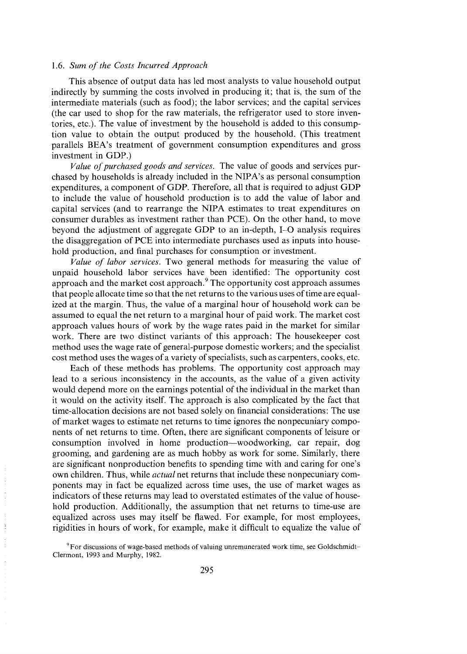#### *1.6. Sum of the Costs Incurred Approach*

This absence of output data has led most analysts to value household output indirectly by summing the costs involved in producing it; that is, the sum of the intermediate materials (such as food); the labor services; and the capital services (the car used to shop for the raw materials, the refrigerator used to store inventories, etc.). The value of investment by the household is added to this consumption value to obtain the output produced by the household. (This treatment parallels BEA's treatment of government consumption expenditures and gross investment in GDP.)

*Value of purchased goods and services.* The value of goods and services purchased by households is already included in the NIPA's as personal consumption expenditures, a component of GDP. Therefore, all that is required to adjust GDP to include the value of household production is to add the value of labor and capital services (and to rearrange the NIPA estimates to treat expenditures on consumer durables as investment rather than PCE). On the other hand, to move beyond the adjustment of aggregate GDP to an in-depth, 1-0 analysis requires the disaggregation of PCE into intermediate purchases used as inputs into household production, and final purchases for consumption or investment.

*Value of labor services.* Two general methods for measuring the value of unpaid household labor services have been identified: The opportunity cost approach and the market cost approach. $^9$  The opportunity cost approach assumes that people allocate time so that the net returns to the various uses of time are equalized at the margin. Thus, the value of a marginal hour of household work can be assumed to equal the net return to a marginal hour of paid work. The market cost approach values hours of work by the wage rates paid in the market for similar work. There are two distinct variants of this approach: The housekeeper cost method uses the wage rate of general-purpose domestic workers; and the specialist cost method uses the wages of a variety of specialists, such as carpenters, cooks, etc.

Each of these methods has problems. The opportunity cost approach may lead to a serious inconsistency in the accounts, as the value of a given activity would depend more on the earnings potential of the individual in the market than it would on the activity itself. The approach is also complicated by the fact that time-allocation decisions are not based solely on financial considerations: The use of market wages to estimate net returns to time ignores the nonpecuniary components of net returns to time. Often, there are significant components of leisure or consumption involved in home production-woodworking, car repair, dog grooming, and gardening are as much hobby as work for some. Similarly, there are significant nonproduction benefits to spending time with and caring for one's own children. Thus, while *actual* net returns that include these nonpecuniary components may in fact be equalized across time uses, the use of market wages as indicators of these returns may lead to overstated estimates of the value of household production. Additionally, the assumption that net returns to time-use are equalized across uses may itself be flawed. For example, for most employees, rigidities in hours of work, for example, make it difficult to equalize the value of

<sup>9</sup> For discussions of wage-based methods of valuing unremunerated work time, see Goldschmidt-Clermont, 1993 and Murphy, 1982.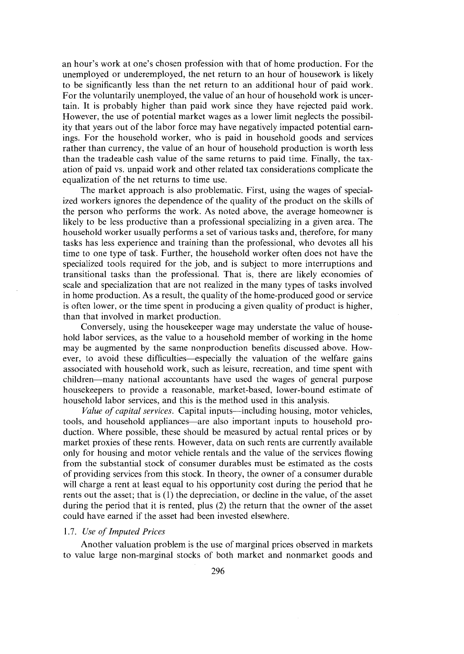an hour's work at one's chosen profession with that of home production. For the unemployed or underemployed, the net return to an hour of housework is likely to be significantly less than the net return to an additional hour of paid work. For the voluntarily unemployed, the value of an hour of household work is uncertain. It is probably higher than paid work since they have rejected paid work. However, the use of potential market wages as a lower limit neglects the possibility that years out of the labor force may have negatively impacted potential earnings. For the household worker, who is paid in household goods and services rather than currency, the value of an hour of household production is worth less than the tradeable cash value of the same returns to paid time. Finally, the taxation of paid vs. unpaid work and other related tax considerations complicate the equalization of the net returns to time use.

The market approach is also problematic. First, using the wages of specialized workers ignores the dependence of the quality of the product on the skills of the person who performs the work. As noted above, the average homeowner is likely to be less productive than a professional specializing in a given area. The household worker usually performs a set of various tasks and, therefore, for many tasks has less experience and training than the professional, who devotes all his time to one type of task. Further, the household worker often does not have the specialized tools required for the job, and is subject to more interruptions and transitional tasks than the professional. That is, there are likely economies of scale and specialization that are not realized in the many types of tasks involved in home production. As a result, the quality of the home-produced good or service is often lower, or the time spent in producing a given quality of product is higher, than that involved in market production.

Conversely, using the housekeeper wage may understate the value of household labor services, as the value to a household member of working in the home may be augmented by the same nonproduction benefits discussed above. However, to avoid these difficulties—especially the valuation of the welfare gains associated with household work, such as leisure, recreation, and time spent with children-many national accountants have used the wages of general purpose housekeepers to provide a reasonable, market-based, lower-bound estimate of household labor services, and this is the method used in this analysis.

*Value of capital services.* Capital inputs—including housing, motor vehicles, tools, and household appliances—are also important inputs to household production. Where possible, these should be measured by actual rental prices or by market proxies of these rents. However, data on such rents are currently available only for housing and motor vehicle rentals and the value of the services flowing from the substantial stock of consumer durables must be estimated as the costs of providing services from this stock. In theory, the owner of a consumer durable will charge a rent at least equal to his opportunity cost during the period that he rents out the asset; that is (1) the depreciation, or decline in the value, of the asset during the period that it is rented, plus (2) the return that the owner of the asset could have earned if the asset had been invested elsewhere.

# 1.7. *Use of Imputed Prices*

Another valuation problem is the use of marginal prices observed in markets to value large non-marginal stocks of both market and nonmarket goods and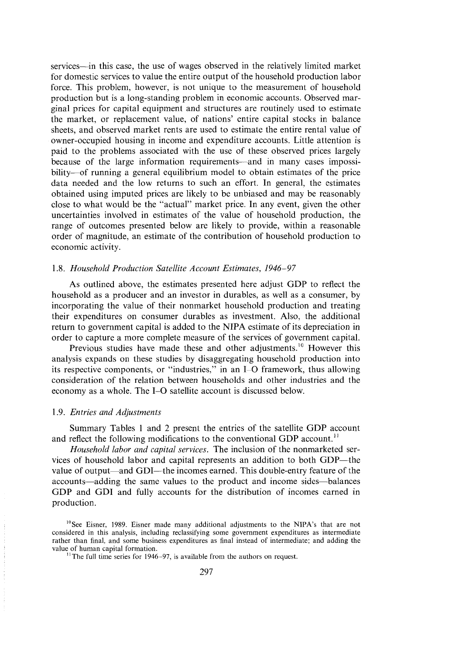services—in this case, the use of wages observed in the relatively limited market for domestic services to value the entire output of the household production labor force. This problem, however, is not unique to the measurement of household production but is a long-standing problem in economic accounts. Observed marginal prices for capital equipment and structures are routinely used to estimate the market, or replacement value, of nations' entire capital stocks in balance sheets, and observed market rents are used to estimate the entire rental value of owner-occupied housing in income and expenditure accounts. Little attention is paid to the problems associated with the use of these observed prices largely because of the large information requirements—and in many cases impossibility-of running a general equilibrium model to obtain estimates of the price data needed and the low returns to such an effort. In general, the estimates obtained using imputed prices are likely to be unbiased and may be reasonably close to what would be the "actual" market price. In any event, given the other uncertainties involved in estimates of the value of household production, the range of outcomes presented below are likely to provide, within a reasonable order of magnitude, an estimate of the contribution of household production to economic activity.

### 1.8. *Household Production Satellite Account Estimates, 1946-97*

As outlined above, the estimates presented here adjust GDP to reflect the household as a producer and an investor in durables, as well as a consumer, by incorporating the value of their nonmarket household production and treating their expenditures on consumer durables as investment. Also, the additional return to government capital is added to the NIPA estimate of its depreciation in order to capture a more complete measure of the services of government capital.

Previous studies have made these and other adjustments.<sup>10</sup> However this analysis expands on these studies by disaggregating household production into its respective components, or "industries," in an 1-0 framework, thus allowing consideration of the relation between households and other industries and the economy as a whole. The 1-0 satellite account is discussed below.

#### 1.9. *Entries and Adjustments*

Summary Tables 1 and 2 present the entries of the satellite GDP account and reflect the following modifications to the conventional GDP account.<sup>11</sup>

*Household labor and capital services.* The inclusion of the nonmarketed services of household labor and capital represents an addition to both GDP-the value of output—and GDI—the incomes earned. This double-entry feature of the accounts-adding the same values to the product and income sides-balances GDP and GDI and fully accounts for the distribution of incomes earned in production.

 $11$ <sup>11</sup> The full time series for 1946-97, is available from the authors on request.

**<sup>10</sup>**See Eisner, 1989. Eisner made many additional adjustments to the NIPA's that are not considered in this analysis, including reclassifying some government expenditures as intermediate rather than final, and some business expenditures as final instead of intermediate; and adding the value of human capital formation.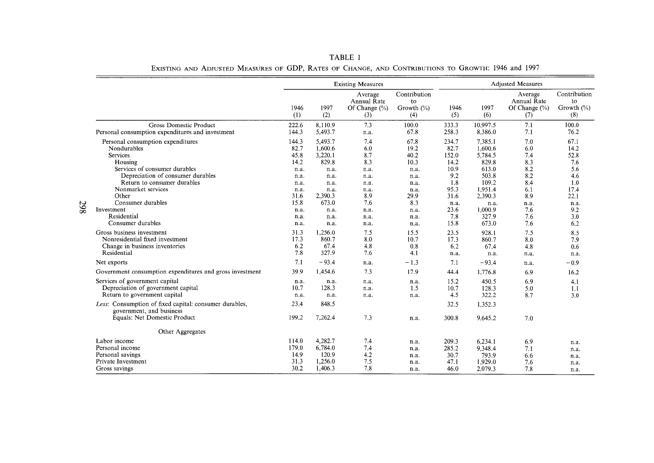|                                                                                    | <b>Existing Measures</b> |             |                                                    |                                            | <b>Adjusted Measures</b> |             |                                                    |                                            |
|------------------------------------------------------------------------------------|--------------------------|-------------|----------------------------------------------------|--------------------------------------------|--------------------------|-------------|----------------------------------------------------|--------------------------------------------|
|                                                                                    | 1946<br>(1)              | 1997<br>(2) | Average<br>Annual Rate<br>Of Change $(\% )$<br>(3) | Contribution<br>to<br>Growth $(\%)$<br>(4) | 1946<br>(5)              | 1997<br>(6) | Average<br>Annual Rate<br>Of Change $(\% )$<br>(7) | Contribution<br>to<br>Growth $(\%)$<br>(8) |
| <b>Gross Domestic Product</b>                                                      | 222.6                    | 8.110.9     | 7.3                                                | 100.0                                      | 333.3                    | 10.997.5    | 7.1                                                | 100.0                                      |
| Personal consumption expenditures and investment                                   | 144.3                    | 5,493.7     | n.a.                                               | 67.8                                       | 258.3                    | 8,386.0     | 7.1                                                | 76.2                                       |
| Personal consumption expenditures                                                  | 144.3                    | 5,493.7     | 7.4                                                | 67.8                                       | 234.7                    | 7.385.1     | 7.0                                                | 67.1                                       |
| Nondurables                                                                        | 82.7                     | 1.600.6     | 6.0                                                | 19.2                                       | 827                      | 1,600.6     | 6.0                                                | 14.2                                       |
| <b>Services</b>                                                                    | 45.8                     | 3,220.1     | 8.7                                                | 40.2                                       | 152.0                    | 5,784.5     | 7.4                                                | 52.8                                       |
| Housing                                                                            | 14.2                     | 829.8       | 8.3                                                | 10.3                                       | 14.2                     | 829.8       | 8.3                                                | 7.6                                        |
| Services of consumer durables                                                      | n.a.                     | n.a.        | n.a.                                               | n.a.                                       | 10.9                     | 613.0       | 8.2                                                | 5.6                                        |
| Depreciation of consumer durables                                                  | n.a.                     | n.a.        | n.a.                                               | n.a.                                       | 9.2                      | 503.8       | 8.2                                                | 4.6                                        |
| Return to consumer durables                                                        | n.a.                     | n.a.        | n.a.                                               | n.a.                                       | 1.8                      | 109.2       | 8.4                                                | 1.0                                        |
| Nonmarket services                                                                 | n.a.                     | n.a.        | n.a.                                               | n.a.                                       | 95.3                     | 1,951.4     | 6.1                                                | 17.4                                       |
| Other                                                                              | 31.6                     | 2,390.3     | 8.9                                                | 29.9                                       | 31.6                     | 2,390.3     | 8.9                                                | 22.1                                       |
| Consumer durables                                                                  | 15.8                     | 673.0       | 7.6                                                | 8.3                                        | n.a.                     | n.a.        | n.a.                                               | n.a.                                       |
| Investment                                                                         | n.a.                     | n.a.        | n.a.                                               | n.a.                                       | 23.6                     | 1,000.9     | 7.6                                                | 9.2                                        |
| Residential                                                                        | n.a.                     | n.a.        | n.a.                                               | n.a.                                       | 7.8                      | 327.9       | 7.6                                                | 3.0                                        |
| Consumer durables                                                                  | n.a.                     | n.a.        | n.a.                                               | n.a.                                       | 15.8                     | 673.0       | 7.6                                                | 6.2                                        |
| Gross business investment                                                          | 31.3                     | 1,256.0     | 7.5                                                | 15.5                                       | 23.5                     | 928.1       | 7.5                                                | 8.5                                        |
| Nonresidential fixed investment                                                    | 17.3                     | 860.7       | 8.0                                                | 10.7                                       | 17.3                     | 860.7       | 8.0                                                | 7.9                                        |
| Change in business inventories                                                     | 6.2                      | 67.4        | 4.8                                                | 0.8                                        | 6.2                      | 67.4        | 4.8                                                | 0.6                                        |
| Residential                                                                        | 7.8                      | 327.9       | 7.6                                                | 4.1                                        | n.a.                     | n.a.        | n.a.                                               | n.a.                                       |
| Net exports                                                                        | 7.1                      | $-93.4$     | n.a.                                               | $-1.3$                                     | 7.1                      | $-93.4$     | n.a.                                               | $-0.9$                                     |
| Government consumption expenditures and gross investment                           | 39.9                     | 1,454.6     | 7.3                                                | 17.9                                       | 44.4                     | 1,776.8     | 6.9                                                | 16.2                                       |
| Services of government capital                                                     | n.a.                     | n.a.        | n.a.                                               | n.a.                                       | 15.2                     | 450.5       | 6.9                                                | 4.1                                        |
| Depreciation of government capital                                                 | 10.7                     | 128.3       | n.a.                                               | 1.5                                        | 10.7                     | 128.3       | 5.0                                                | 1.1                                        |
| Return to government capital                                                       | n.a.                     | n.a.        | n.a.                                               | n.a.                                       | 4.5                      | 322.2       | 8.7                                                | 3.0                                        |
| Less: Consumption of fixed capital: consumer durables,<br>government, and business | 23.4                     | 848.5       |                                                    |                                            | 32.5                     | 1,352.3     |                                                    |                                            |
| Equals: Net Domestic Product                                                       | 199.2                    | 7,262.4     | 7.3                                                | n.a.                                       | 300.8                    | 9,645.2     | 7.0                                                |                                            |
| Other Aggregates                                                                   |                          |             |                                                    |                                            |                          |             |                                                    |                                            |
| Labor income                                                                       | 114.0                    | 4,282.7     | 7.4                                                | n.a.                                       | 209.3                    | 6,234.1     | 6.9                                                | n.a.                                       |
| Personal income                                                                    | 179.0                    | 6,784.0     | 7.4                                                | n.a.                                       | 285.2                    | 9.348.4     | 7.1                                                | n.a.                                       |
| Personal savings                                                                   | 14.9                     | 120.9       | 4.2                                                | n.a.                                       | 30.7                     | 793.9       | 6.6                                                | n.a.                                       |
| Private Investment                                                                 | 31.3                     | 1,256.0     | 7.5                                                | n.a.                                       | 47.1                     | 1,929.0     | 7.6                                                | n.a.                                       |
| Gross savings                                                                      | 30.2                     | 1,406.3     | 7.8                                                | n.a.                                       | 46.0                     | 2,079.3     | 7.8                                                | n.a.                                       |

**TABLE 1 EXISTING AND ADJUSTED MEASURES OF GDP, RATES OF CHANGE, AND CONTRIBUTIONS TOGROWTH: 1946** and 1997

298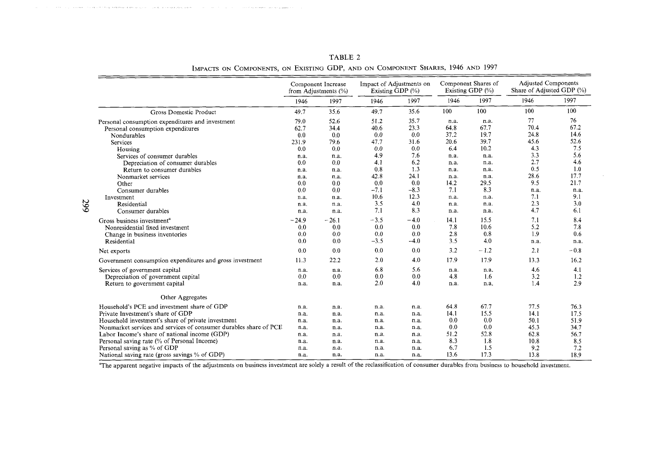|                                                                   | Component Increase<br>from Adjustments (%) |                | Impact of Adjustments on<br>Existing GDP (%) |        | Component Shares of<br>Existing GDP (%) |        | <b>Adjusted Components</b><br>Share of Adjusted GDP (%) |        |
|-------------------------------------------------------------------|--------------------------------------------|----------------|----------------------------------------------|--------|-----------------------------------------|--------|---------------------------------------------------------|--------|
|                                                                   | 1946                                       | 1997           | 1946                                         | 1997   | 1946                                    | 1997   | 1946                                                    | 1997   |
| Gross Domestic Product                                            | 49.7                                       | 35.6           | 49.7                                         | 35.6   | 100                                     | 100    | 100                                                     | 100    |
| Personal consumption expenditures and investment                  | 79.0                                       | 52.6           | 51.2                                         | 35.7   | n.a.                                    | n.a.   | 77                                                      | 76     |
| Personal consumption expenditures                                 | 62.7                                       | 34.4           | 40.6                                         | 23.3   | 64.8                                    | 67.7   | 70.4                                                    | 67.2   |
| Nondurables                                                       | 0.0                                        | 0.0            | 0.0                                          | 0,0    | 37.2                                    | 19.7   | 24.8                                                    | 14.6   |
| <b>Services</b>                                                   | 231.9                                      | 79.6           | 47.7                                         | 31.6   | 20.6                                    | 39.7   | 45.6                                                    | 52.6   |
| Housing                                                           | 0.0                                        | 0 <sub>0</sub> | 0.0                                          | 0.0    | 64                                      | 10.2   | 4.3                                                     | 7.5    |
| Services of consumer durables                                     | n.a.                                       | n.a.           | 4.9                                          | 7.6    | n.a.                                    | n.a.   | 3.3                                                     | 5.6    |
| Depreciation of consumer durables                                 | 0.0                                        | 0,0            | 4.1                                          | 6.2    | n.a.                                    | n.a.   | 2.7                                                     | 4.6    |
| Return to consumer durables                                       | n.a.                                       | n.a.           | 0.8                                          | 1.3    | n.a.                                    | n.a.   | 0.5                                                     | 1.0    |
| Nonmarket services                                                | n.a.                                       | n.a.           | 42.8                                         | 24.1   | n.a.                                    | n.a.   | 28.6                                                    | 17.7   |
| Other                                                             | 0.0                                        | 0.0            | 0.0                                          | 0.0    | 14.2                                    | 29.5   | 9.5                                                     | 21.7   |
| Consumer durables                                                 | 0.0                                        | 0.0            | $-7.1$                                       | $-8.3$ | 7.1                                     | 8.3    | n.a.                                                    | n.a.   |
| Investment                                                        | n.a.                                       | n.a.           | 10.6                                         | 12.3   | n.a.                                    | n.a.   | 7.1                                                     | 9.1    |
| Residential                                                       | n.a.                                       | n.a.           | 3.5                                          | 4.0    | n.a.                                    | n.a.   | 23                                                      | 3.0    |
| Consumer durables                                                 | n.a.                                       | n.a.           | 7.1                                          | 8.3    | n.a.                                    | n.a.   | 4.7                                                     | 6.1    |
| Gross business investment <sup>a</sup>                            | $-24.9$                                    | $-26.1$        | $-3.5$                                       | $-4.0$ | 14.1                                    | 15.5   | 7.1                                                     | 8.4    |
| Nonresidential fixed investment                                   | 0.0                                        | 0.0            | 0.0                                          | 0.0    | 7.8                                     | 10.6   | 5.2                                                     | 7.8    |
| Change in business inventories                                    | 0.0                                        | 0.0            | 0.0                                          | 0.0    | 2.8                                     | 0.8    | 1.9                                                     | 0.6    |
| Residential                                                       | 0.0                                        | 0.0            | $-3.5$                                       | $-4.0$ | 3.5                                     | 4.0    | n.a.                                                    | n.a.   |
| Net exports                                                       | 0.0                                        | 0.0            | 0.0                                          | 0.0    | 3.2                                     | $-1.2$ | 2.1                                                     | $-0.8$ |
| Government consumption expenditures and gross investment          | 11.3                                       | 22.2           | 2.0                                          | 4.0    | 17.9                                    | 17.9   | 13.3                                                    | 162    |
| Services of government capital                                    | n.a.                                       | n.a.           | 6.8                                          | 5.6    | n.a.                                    | n.a.   | 4.6                                                     | 4.1    |
| Depreciation of government capital                                | 0.0                                        | 0.0            | 0.0                                          | 0.0    | 4.8                                     | 1.6    | 3.2                                                     | 1.2    |
| Return to government capital                                      | n.a.                                       | n.a.           | 2.0                                          | 4.0    | n.a.                                    | n.a.   | 1.4                                                     | 2.9    |
| Other Aggregates                                                  |                                            |                |                                              |        |                                         |        |                                                         |        |
| Household's PCE and investment share of GDP                       | n.a.                                       | n.a            | n.a.                                         | n.a.   | 64.8                                    | 67.7   | 77.5                                                    | 76.3   |
| Private Investment's share of GDP                                 | n.a.                                       | n.a.           | n.a.                                         | n.a.   | 14.1                                    | 15.5   | 14.1                                                    | 17.5   |
| Household investment's share of private investment                | n a.                                       | n.a.           | n.a.                                         | n.a.   | 0.0                                     | 0.0    | 50.1                                                    | 51.9   |
| Nonmarket services and services of consumer durables share of PCE | n.a.                                       | n.a.           | n.a.                                         | n.a.   | 0.0                                     | 0.0    | 45.3                                                    | 34.7   |
| Labor Income's share of national income (GDP)                     | n.a.                                       | n.a.           | n.a.                                         | n.a.   | 51.2                                    | 52.8   | 62.8                                                    | 56.7   |
| Personal saving rate (% of Personal Income)                       | n.a.                                       | n.a.           | n.a.                                         | n.a.   | 8.3                                     | 1.8    | 10.8                                                    | 8.5    |
| Personal saving as % of GDP                                       | n.a.                                       | n.a.           | n.a.                                         | n.a.   | 6.7                                     | 1.5    | 9.2                                                     | 7.2    |
| National saving rate (gross savings % of GDP)                     | n.a.                                       | n.a.           | n.a.                                         | n.a.   | 13.6                                    | 17.3   | 13.8                                                    | 18.9   |

TABLE 2 IMPACTS ON COMPONENTS, ON EXISTING GDP, AND ON COMPONENT SHARES, 1946 AND 1997

The apparent negative impacts of the adjustments on business investment are solely a result of the reclassification of consumer durables from business to household investment.

299

and the company of the company

a contra de caso de contra estado de contra de contra

and the company of the second contract of the second contract of the second contract of the second contract of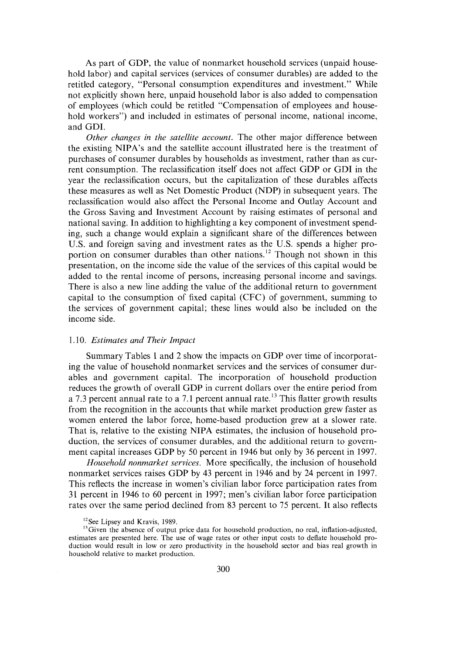As part of GDP, the value of nonmarket household services (unpaid household labor) and capital services (services of consumer durables) are added to the retitled category, "Personal consumption expenditures and investment." While not explicitly shown here, unpaid household labor is also added to compensation of employees (which could be retitled "Compensation of employees and household workers") and included in estimates of personal income, national income, and GDI.

*Other changes in the satellite account.* The other major difference between the existing NIPA's and the satellite account illustrated here is the treatment of purchases of consumer durables by households as investment, rather than as current consumption. The reclassification itself does not affect GDP or GDI in the year the reclassification occurs, but the capitalization of these durables affects these measures as well as Net Domestic Product (NDP) in subsequent years. The reclassification would also affect the Personal Income and Outlay Account and the Gross Saving and Investment Account by raising estimates of personal and national saving. In addition to highlighting a key component of investment spending, such a change would explain a significant share of the differences between U.S. and foreign saving and investment rates as the U.S. spends a higher proportion on consumer durables than other nations.<sup>12</sup> Though not shown in this presentation, on the income side the value of the services of this capital would be added to the rental income of persons, increasing personal income and savings. There is also a new line adding the value of the additional return to government capital to the consumption of fixed capital (CFC) of government, summing to the services of government capital; these lines would also be included on the income side.

#### 1 .lo. *Estimates and Their Impact*

Summary Tables 1 and 2 show the impacts on GDP over time of incorporating the value of household nonmarket services and the services of consumer durables and government capital. The incorporation of household production reduces the growth of overall GDP in current dollars over the entire period from a 7.3 percent annual rate to a 7.1 percent annual rate.<sup>13</sup> This flatter growth results from the recognition in the accounts that while market production grew faster as women entered the labor force, home-based production grew at a slower rate. That is, relative to the existing NIPA estimates, the inclusion of household production, the services of consumer durables, and the additional return to government capital increases GDP by 50 percent in 1946 but only by 36 percent in 1997.

*Household nonmarket services.* More specifically, the inclusion of household nonmarket services raises GDP by 43 percent in 1946 and by 24 percent in 1997. This reflects the increase in women's civilian labor force participation rates from 31 percent in 1946 to 60 percent in 1997; men's civilian labor force participation rates over the same period declined from 83 percent to 75 percent. It also reflects

<sup>&</sup>lt;sup>12</sup> See Lipsey and Kravis, 1989.<br><sup>13</sup>Given the absence of output price data for household production, no real, inflation-adjusted, estimates are presented here. The use of wage rates or other input costs to deflate household production would result in low or zero productivity in the household sector and bias real growth in household relative to market production.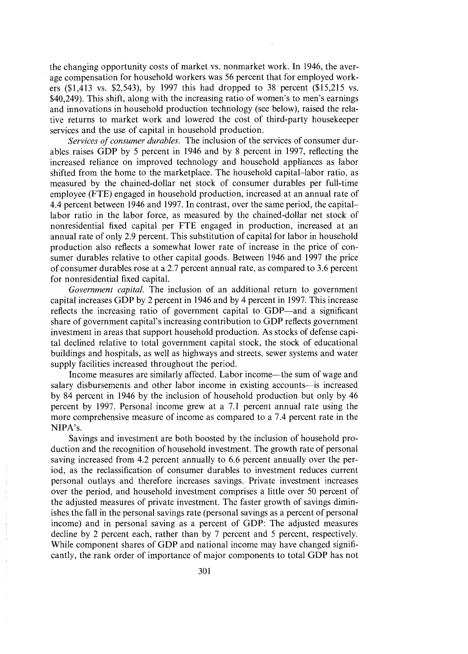the changing opportunity costs of market vs. nonmarket work. In 1946, the average compensation for household workers was 56 percent that for employed workers (\$1,413 vs. \$2,543), by 1997 this had dropped to 38 percent (\$15,215 vs. \$40,249). This shift, along with the increasing ratio of women's to men's earnings and innovations in household production technology (see below), raised the relative returns to market work and lowered the cost of third-party housekeeper services and the use of capital in household production.

*Services of consumer durables.* The inclusion of the services of consumer durables raises GDP by 5 percent in 1946 and by 8 percent in 1997, reflecting the increased reliance on improved technology and household appliances as labor shifted from the home to the marketplace. The household capital-labor ratio, as measured by the chained-dollar net stock of consumer durables per full-time employee (FTE) engaged in household production, increased at an annual rate of 4.4 percent between 1946 and 1997. In contrast, over the same period, the capitallabor ratio in the labor force, as measured by the chained-dollar net stock of nonresidential fixed capital per FTE engaged in production, increased at an annual rate of only 2.9 percent. This substitution of capital for labor in household production also reflects a somewhat lower rate of increase in the price of consumer durables relative to other capital goods. Between 1946 and 1997 the price of consumer durables rose at a 2.7 percent annual rate, as compared to 3.6 percent for nonresidential fixed capital.

*Government capital.* The inclusion of an additional return to government capital increases GDP by 2 percent in 1946 and by 4 percent in 1997. This increase reflects the increasing ratio of government capital to GDP-and a significant share of government capital's increasing contribution to GDP reflects government investment in areas that support household production. As stocks of defense capital declined relative to total government capital stock, the stock of educational buildings and hospitals, as well as highways and streets, sewer systems and water supply facilities increased throughout the period.

Income measures are similarly affected. Labor income-the sum of wage and salary disbursements and other labor income in existing accounts-is increased by 84 percent in 1946 by the inclusion of household production but only by 46 percent by 1997. Personal income grew at a 7.1 percent annual rate using the more comprehensive measure of income as compared to a 7.4 percent rate in the NIPA's.

Savings and investment are both boosted by the inclusion of household production and the recognition of household investment. The growth rate of personal saving increased from 4.2 percent annually to 6.6 percent annually over the period, as the reclassification of consumer durables to investment reduces current personal outlays and therefore increases savings. Private investment increases over the period, and household investment comprises a little over 50 percent of the adjusted measures of private investment. The faster growth of savings diminishes the fall in the personal savings rate (personal savings as a percent of personal income) and in personal saving as a percent of GDP: The adjusted measures decline by 2 percent each, rather than by 7 percent and 5 percent, respectively. While component shares of GDP and national income may have changed significantly, the rank order of importance of major components to total GDP has not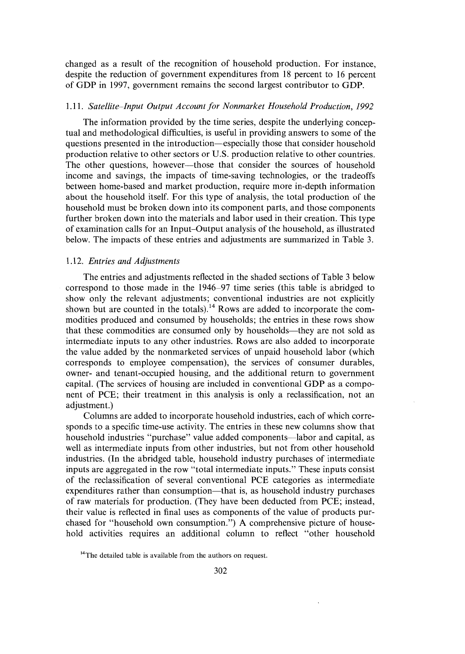changed as a result of the recognition of household production. For instance, despite the reduction of government expenditures from 18 percent to 16 percent of GDP in 1997, government remains the second largest contributor to GDP.

# 1.1 1. *Satellite-Input Output Account for Nonmarket Household Production, 1992*

The information provided by the time series, despite the underlying conceptual and methodological difficulties, is useful in providing answers to some of the questions presented in the introduction-especially those that consider household production relative to other sectors or U.S. production relative to other countries. The other questions, however—those that consider the sources of household income and savings, the impacts of time-saving technologies, or the tradeoffs between home-based and market production, require more in-depth information about the household itself. For this type of analysis, the total production of the household must be broken down into its component parts, and those components further broken down into the materials and labor used in their creation. This type of examination calls for an Input-Output analysis of the household, as illustrated below. The impacts of these entries and adjustments are summarized in Table 3.

# 1.12. *Entries and Adjustments*

The entries and adjustments reflected in the shaded sections of Table 3 below correspond to those made in the 1946-97 time series (this table is abridged to show only the relevant adjustments; conventional industries are not explicitly shown but are counted in the totals).<sup>14</sup> Rows are added to incorporate the commodities produced and consumed by households; the entries in these rows show that these commodities are consumed only by households-they are not sold as intermediate inputs to any other industries. Rows are also added to incorporate the value added by the nonmarketed services of unpaid household labor (which corresponds to employee compensation), the services of consumer durables, owner- and tenant-occupied housing, and the additional return to government capital. (The services of housing are included in conventional GDP as a component of PCE; their treatment in this analysis is only a reclassification, not an adjustment.)

Columns are added to incorporate household industries, each of which corresponds to a specific time-use activity. The entries in these new columns show that household industries "purchase" value added components-labor and capital, as well as intermediate inputs from other industries, but not from other household industries. (In the abridged table, household industry purchases of intermediate inputs are aggregated in the row "total intermediate inputs." These inputs consist of the reclassification of several conventional PCE categories as intermediate expenditures rather than consumption—that is, as household industry purchases of raw materials for production. (They have been deducted from PCE; instead, their value is reflected in final uses as components of the value of products purchased for "household own consumption.") **A** comprehensive picture of household activities requires an additional column to reflect "other household

<sup>&</sup>lt;sup>14</sup>The detailed table is available from the authors on request.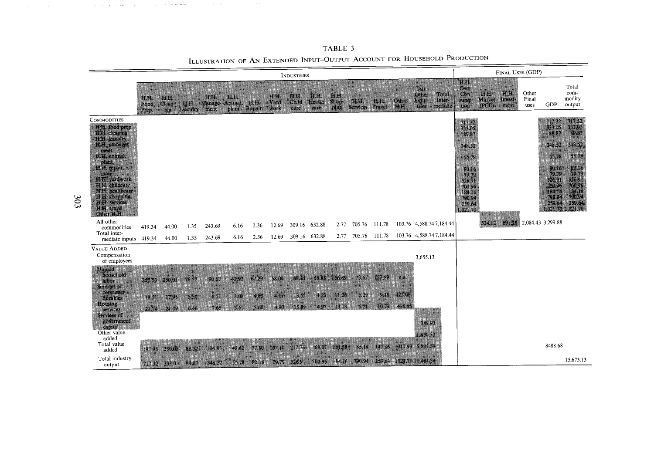FINAL USES (GDP) **INDUSTRIES** l. HH. Total  $\frac{Own}{C \circ n}$ HH. HH. Other com-Other<br>Indus-Total H.H.<br>Child H.H.<br>Health HH. HH. H.H. HH uu. H.H. Inter-Final modity Other  $\frac{\text{sump}}{\text{top}}$ Market Invest-ĦĦ. H.H. Manage- Anmal, H.H. Yard Shop-Food<br>Prep. Clean-HH. GDP  $H$  H **Trice** mediate  $(PE)$ ment uses output niir Travel plant Repair. care care Services work ing Laundry ment **COMMODITIES** 717.32<br>333.05<br>89.87 717.32 717.32 H.H. food prep<br>H.H. cleaning<br>H.H. izmangga<br>H.H. managga<br>ment<br>H.H. animal. 333.05 335.05 **89.87**  $89.8$ 348.52 348.52 348.52 55.78 55,78 55.7 n mannen<br>H.H. repair,<br>main. \$0.16 80.16  $80<sub>1</sub>$ 79.79<br>526.91<br>700.96<br>184.16<br>730.94  $\overline{N}$  $79.7$ mant.<br>H.H. yardwork<br>H.H. childcare<br>H.H. shopping<br>H.H. services 526.91 526.9 700.96 700 H 184.16<br>184.16<br>790.94 in i 790.94 259.64 259.64<br>021.70 1.021.70 HH travel 1.021.70 Other H.H. 691.28 2,084.43 3,299.88 **All** other  $524.17$ ommodities 419.34 44.00 1.35 243.69 6.16 2.36 12.69 309.16 632.88 2.77 705.76 111.78 103.76 4,368.747,184.444 Total interotal inter-<br>mediate inputs 419.34 44.00 1.35 243.69 6.16 2.36 12.69 309.16 632.88 2.77 705.76 111.78 103.76 4,588.747,184.44 VALUE ADDED Compensation 3,655.13 of employees Unpaid<br>household 156.89 73.67 127.89 na  $67.20$ 58 P.A ISS 35 58.85 labor. 257.53 250.01 76.57 90.67 42.92 Services of consumer<br>durables 9.18 422.08 4.23 11.26  $5.29$ 17.95 -5.50  $6.51$ 30.  $\sqrt{2}$ 418 -13.52 18.51 Housing 6.21 10.79 495.85 4.90  $15.89$  $4.97 - 13.23$  $7.65.$  $3,62$ 5.68 21.74 21.09 6.46 services<br>Services of governmen<br>capital 389.93 Other value 1,850.53 added Total value 8488.68 917.93 5.895.59 77.80 67.10 217.761 68.07 181.39 85.18 147.86 49.62 197.98 289.05 88.52 104.83 added Total industry 15,673.13 700.96 184.16 790.94 259.64 1021.70 10.484.34 55.78 80.16 79.79 526.9 717.32 333.0 89.87 348.52 output

TABLE 3 ILLUSTRATION OF AN EXTENDED INPUT-OUTPUT ACCOUNT FOR HOUSEHOLD PRODUCTION

 $303$ 

the companies of the companies and the

and a consequence of the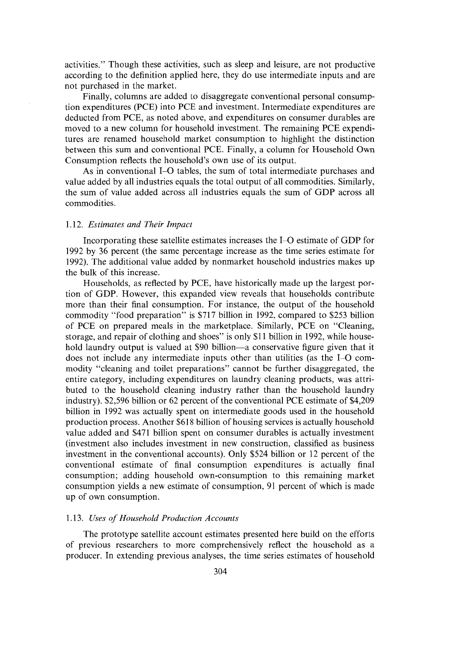activities." Though these activities, such as sleep and leisure, are not productive according to the definition applied here, they do use intermediate inputs and are not purchased in the market.

Finally, columns are added to disaggregate conventional personal consumption expenditures (PCE) into PCE and investment. Intermediate expenditures are deducted from PCE, as noted above, and expenditures on consumer durables are moved to a new column for household investment. The remaining PCE expenditures are renamed household market consumption to highlight the distinction between this sum and conventional PCE. Finally, a column for Household Own Consumption reflects the household's own use of its output.

As in conventional 1-0 tables, the sum of total intermediate purchases and value added by all industries equals the total output of all commodities. Similarly, the sum of value added across all industries equals the sum of GDP across all commodities.

## 1.12. *Estimates and Their Impact*

Incorporating these satellite estimates increases the 1-0 estimate of GDP for 1992 by 36 percent (the same percentage increase as the time series estimate for 1992). The additional value added by nonmarket household industries makes up the bulk of this increase.

Households, as reflected by PCE, have historically made up the largest portion of GDP. However, this expanded view reveals that households contribute more than their final consumption. For instance, the output of the household commodity "food preparation" is \$717 billion in 1992, compared to \$253 billion of PCE on prepared meals in the marketplace. Similarly, PCE on "Cleaning, storage, and repair of clothing and shoes" is only \$11 billion in 1992, while household laundry output is valued at \$90 billion—a conservative figure given that it does not include any intermediate inputs other than utilities (as the 1-0 commodity "cleaning and toilet preparations" cannot be further disaggregated, the entire category, including expenditures on laundry cleaning products, was attributed to the household cleaning industry rather than the household laundry industry). \$2,596 billion or 62 percent of the conventional PCE estimate of \$4,209 billion in 1992 was actually spent on intermediate goods used in the household production process. Another \$618 billion of housing services is actually household value added and \$471 billion spent on consumer durables is actually investment (investment also includes investment in new construction, classified as business investment in the conventional accounts). Only \$524 billion or 12 percent of the conventional estimate of final consumption expenditures is actually final consumption; adding household own-consumption to this remaining market consumption yields a new estimate of consumption, 91 percent of which is made up of own consumption.

# 1.13. *Uses of Household Production Accounts*

The prototype satellite account estimates presented here build on the efforts of previous researchers to more comprehensively reflect the household as a producer. In extending previous analyses, the time series estimates of household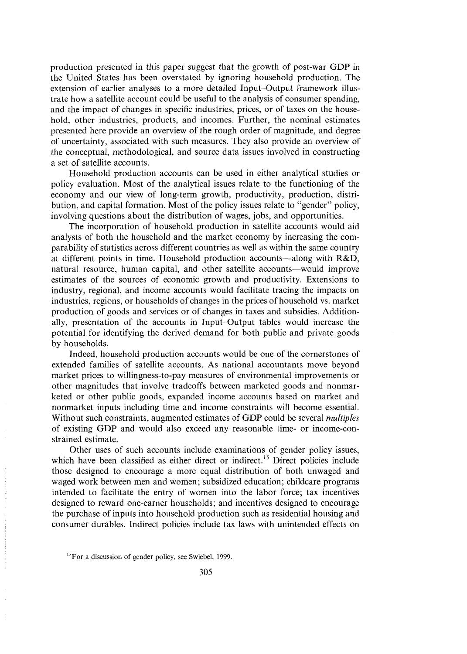production presented in this paper suggest that the growth of post-war GDP in the United States has been overstated by ignoring household production. The extension of earlier analyses to a more detailed Input-Output framework illustrate how a satellite account could be useful to the analysis of consumer spending, and the impact of changes in specific industries, prices, or of taxes on the household, other industries, products, and incomes. Further, the nominal estimates presented here provide an overview of the rough order of magnitude, and degree of uncertainty, associated with such measures. They also provide an overview of the conceptual, methodological, and source data issues involved in constructing a set of satellite accounts.

Household production accounts can be used in either analytical studies or policy evaluation. Most of the analytical issues relate to the functioning of the economy and our view of long-term growth, productivity, production, distribution, and capital formation. Most of the policy issues relate to "gender" policy, involving questions about the distribution of wages, jobs, and opportunities.

The incorporation of household production in satellite accounts would aid analysts of both the household and the market economy by increasing the comparability of statistics across different countries as well as within the same country at different points in time. Household production accounts-along with R&D, natural resource, human capital, and other satellite accounts-would improve estimates of the sources of economic growth and productivity. Extensions to industry, regional, and income accounts would facilitate tracing the impacts on industries, regions, or households of changes in the prices of household vs. market production of goods and services or of changes in taxes and subsidies. Additionally, presentation of the accounts in Input-Output tables would increase the potential for identifying the derived demand for both public and private goods by households.

Indeed, household production accounts would be one of the cornerstones of extended families of satellite accounts. As national accountants move beyond market prices to willingness-to-pay measures of environmental improvements or other magnitudes that involve tradeoffs between marketed goods and nonmarketed or other public goods, expanded income accounts based on market and nonmarket inputs including time and income constraints will become essential. Without such constraints, augmented estimates of GDP could be several *multiples* of existing GDP and would also exceed any reasonable time- or income-constrained estimate.

Other uses of such accounts include examinations of gender policy issues, which have been classified as either direct or indirect.<sup>15</sup> Direct policies include those designed to encourage a more equal distribution of both unwaged and waged work between men and women; subsidized education; childcare programs intended to facilitate the entry of women into the labor force; tax incentives designed to reward one-earner households; and incentives designed to encourage the purchase of inputs into household production such as residential housing and consumer durables. Indirect policies include tax laws with unintended effects on

<sup>&</sup>lt;sup>15</sup>For a discussion of gender policy, see Swiebel, 1999.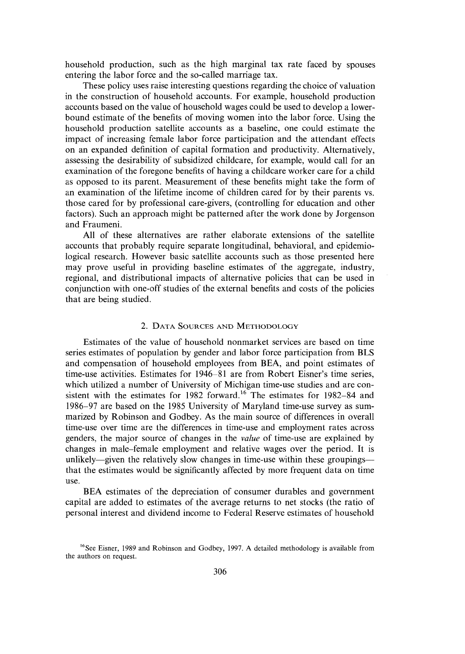household production, such as the high marginal tax rate faced by spouses entering the labor force and the so-called marriage tax.

These policy uses raise interesting questions regarding the choice of valuation in the construction of household accounts. For example, household production accounts based on the value of household wages could be used to develop a lowerbound estimate of the benefits of moving women into the labor force. Using the household production satellite accounts as a baseline, one could estimate the impact of increasing female labor force participation and the attendant effects on an expanded definition of capital formation and productivity. Alternatively, assessing the desirability of subsidized childcare, for example, would call for an examination of the foregone benefits of having a childcare worker care for a child as opposed to its parent. Measurement of these benefits might take the form of an examination of the lifetime income of children cared for by their parents vs. those cared for by professional care-givers, (controlling for education and other factors). Such an approach might be patterned after the work done by Jorgenson and Fraumeni.

All of these alternatives are rather elaborate extensions of the satellite accounts that probably require separate longitudinal, behavioral, and epidemiological research. However basic satellite accounts such as those presented here may prove useful in providing baseline estimates of the aggregate, industry, regional, and distributional impacts of alternative policies that can be used in conjunction with one-off studies of the external benefits and costs of the policies that are being studied.

# 2. DATA SOURCES AND METHODOLOGY

Estimates of the value of household nonmarket services are based on time series estimates of population by gender and labor force participation from BLS and compensation of household employees from BEA, and point estimates of time-use activities. Estimates for 1946-81 are from Robert Eisner's time series, which utilized a number of University of Michigan time-use studies and are consistent with the estimates for 1982 forward.<sup>16</sup> The estimates for 1982–84 and 1986-97 are based on the 1985 University of Maryland time-use survey as summarized by Robinson and Godbey. As the main source of differences in overall time-use over time are the differences in time-use and employment rates across genders, the major source of changes in the **value** of time-use are explained by changes in male-female employment and relative wages over the period. It is unlikely—given the relatively slow changes in time-use within these groupings that the estimates would be significantly affected by more frequent data on time use.

BEA estimates of the depreciation of consumer durables and government capital are added to estimates of the average returns to net stocks (the ratio of personal interest and dividend income to Federal Reserve estimates of household

**<sup>16</sup>**See Eisner, 1989 and Robinson and Godbey, 1997. **A** detailed methodology is available from the authors on request.